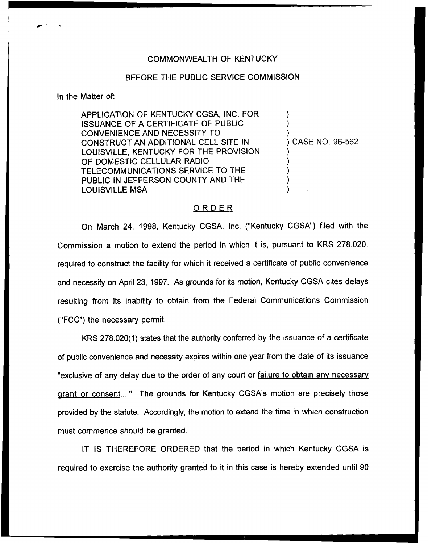## COMMONWEALTH OF KENTUCKY

## BEFORE THE PUBLIC SERVICE COMMISSION

In the Matter of:

APPLICATION OF KENTUCKY CGSA, INC. FOR ISSUANCE OF A CERTIFICATE OF PUBLIC CONVENIENCE AND NECESSITY TO CONSTRUCT AN ADDITIONAL CELL SITE IN LOUISVILLE, KENTUCKY FOR THE PROVISION OF DOMESTIC CELLULAR RADIO TELECOMMUNICATIONS SERVICE TO THE PUBLIC IN JEFFERSON COUNTY AND THE LOUISVILLE MSA

) CASE NO. 96-562

) ) )

) ) ) ) )

## ORDER

On March 24, 1998, Kentucky CGSA, Inc. ("Kentucky CGSA") filed with the Commission a motion to extend the period in which it is, pursuant to KRS 2?8.020, required to construct the facility for which it received a certificate of public convenience and necessity on April 23, 1997. As grounds for its motion, Kentucky CGSA cites delays resulting from its inability to obtain from the Federal Communications Commission ("FCC") the necessary permit.

KRS 278.020(1) states that the authority conferred by the issuance of a certificate of public convenience and necessity expires within one year from the date of its issuance "exclusive of any delay due to the order of any court or failure to obtain any necessary grant or consent...." The grounds for Kentucky CGSA's motion are precisely those provided by the statute. Accordingly, the motion to extend the time in which construction must commence should be granted.

IT IS THEREFORE ORDERED that the period in which Kentucky CGSA is required to exercise the authority granted to it in this case is hereby extended until 90